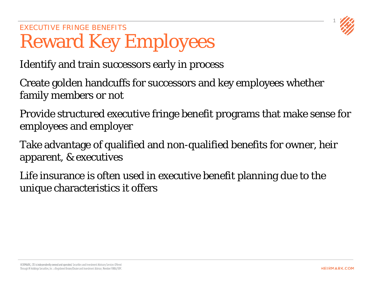

## EXECUTIVE FRINGE BENEFITS Reward Key Employees

Identify and train successors early in process

Create golden handcuffs for successors and key employees whether family members or not

Provide structured executive fringe benefit programs that make sense for employees and employer

Take advantage of qualified and non-qualified benefits for owner, heir apparent, & executives

Life insurance is often used in executive benefit planning due to the unique characteristics it offers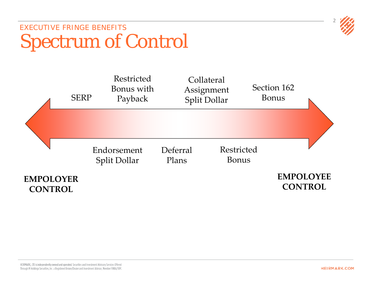

## EXECUTIVE FRINGE BENEFITS Spectrum of Control

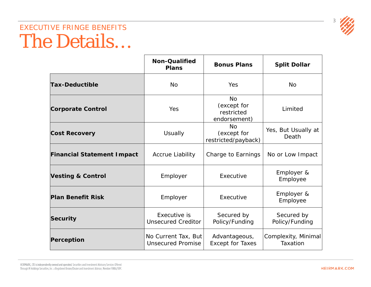

## EXECUTIVE FRINGE BENEFITS The Details…

|                                   | <b>Non-Qualified</b><br><b>Plans</b>            | <b>Bonus Plans</b>                                     | <b>Split Dollar</b>             |
|-----------------------------------|-------------------------------------------------|--------------------------------------------------------|---------------------------------|
| <b>Tax-Deductible</b>             | <b>No</b>                                       | Yes                                                    | <b>No</b>                       |
| <b>Corporate Control</b>          | Yes                                             | <b>No</b><br>(except for<br>restricted<br>endorsement) | Limited                         |
| <b>Cost Recovery</b>              | <b>Usually</b>                                  | <b>No</b><br>(except for<br>restricted/payback)        | Yes, But Usually at<br>Death    |
| <b>Financial Statement Impact</b> | Accrue Liability                                | Charge to Earnings                                     | No or Low Impact                |
| <b>Vesting &amp; Control</b>      | Employer                                        | Executive                                              | Employer &<br>Employee          |
| <b>Plan Benefit Risk</b>          | Employer                                        | Executive                                              | Employer &<br>Employee          |
| Security                          | Executive is<br><b>Unsecured Creditor</b>       | Secured by<br>Policy/Funding                           | Secured by<br>Policy/Funding    |
| Perception                        | No Current Tax, But<br><b>Unsecured Promise</b> | Advantageous,<br><b>Except for Taxes</b>               | Complexity, Minimal<br>Taxation |